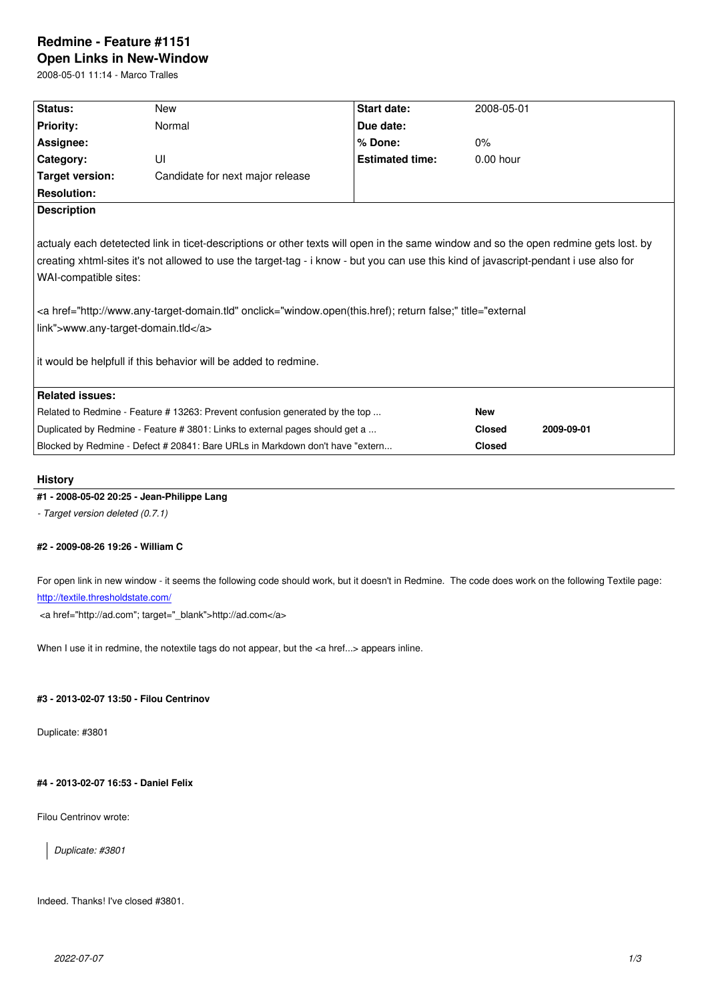#### **Open Links in New-Window**

2008-05-01 11:14 - Marco Tralles

| Status:                                                                                                                                                                                                                                                                                                                                                                                                                                                                                                                              | <b>New</b>                                                                    | Start date:            | 2008-05-01    |            |
|--------------------------------------------------------------------------------------------------------------------------------------------------------------------------------------------------------------------------------------------------------------------------------------------------------------------------------------------------------------------------------------------------------------------------------------------------------------------------------------------------------------------------------------|-------------------------------------------------------------------------------|------------------------|---------------|------------|
| <b>Priority:</b>                                                                                                                                                                                                                                                                                                                                                                                                                                                                                                                     | Normal                                                                        | Due date:              |               |            |
| Assignee:                                                                                                                                                                                                                                                                                                                                                                                                                                                                                                                            |                                                                               | % Done:                | 0%            |            |
| Category:                                                                                                                                                                                                                                                                                                                                                                                                                                                                                                                            | UI                                                                            | <b>Estimated time:</b> | $0.00$ hour   |            |
| Target version:                                                                                                                                                                                                                                                                                                                                                                                                                                                                                                                      | Candidate for next major release                                              |                        |               |            |
| <b>Resolution:</b>                                                                                                                                                                                                                                                                                                                                                                                                                                                                                                                   |                                                                               |                        |               |            |
| <b>Description</b>                                                                                                                                                                                                                                                                                                                                                                                                                                                                                                                   |                                                                               |                        |               |            |
| actualy each detetected link in ticet-descriptions or other texts will open in the same window and so the open redmine gets lost. by<br>creating xhtml-sites it's not allowed to use the target-tag - i know - but you can use this kind of javascript-pendant i use also for<br>WAI-compatible sites:<br><a href="http://www.any-target-domain.tld" onclick="window.open(this.href); return false;" title="external&lt;br&gt;link">www.any-target-domain.tld</a><br>it would be helpfull if this behavior will be added to redmine. |                                                                               |                        |               |            |
| <b>Related issues:</b>                                                                                                                                                                                                                                                                                                                                                                                                                                                                                                               |                                                                               |                        |               |            |
|                                                                                                                                                                                                                                                                                                                                                                                                                                                                                                                                      | Related to Redmine - Feature #13263: Prevent confusion generated by the top   |                        | <b>New</b>    |            |
|                                                                                                                                                                                                                                                                                                                                                                                                                                                                                                                                      | Duplicated by Redmine - Feature # 3801: Links to external pages should get a  |                        | <b>Closed</b> | 2009-09-01 |
|                                                                                                                                                                                                                                                                                                                                                                                                                                                                                                                                      | Blocked by Redmine - Defect # 20841: Bare URLs in Markdown don't have "extern |                        | <b>Closed</b> |            |
|                                                                                                                                                                                                                                                                                                                                                                                                                                                                                                                                      |                                                                               |                        |               |            |

## **History**

# **#1 - 2008-05-02 20:25 - Jean-Philippe Lang**

*- Target version deleted (0.7.1)*

# **#2 - 2009-08-26 19:26 - William C**

For open link in new window - it seems the following code should work, but it doesn't in Redmine. The code does work on the following Textile page: http://textile.thresholdstate.com/

<a href="http://ad.com"; target="\_blank">http://ad.com</a>

[When I use it in redmine, the no](http://textile.thresholdstate.com/)textile tags do not appear, but the <a href...> appears inline.

## **#3 - 2013-02-07 13:50 - Filou Centrinov**

Duplicate: #3801

# **#4 - 2013-02-07 16:53 - Daniel Felix**

Filou Centrinov wrote:

*Duplicate: #3801*

Indeed. Thanks! I've closed #3801.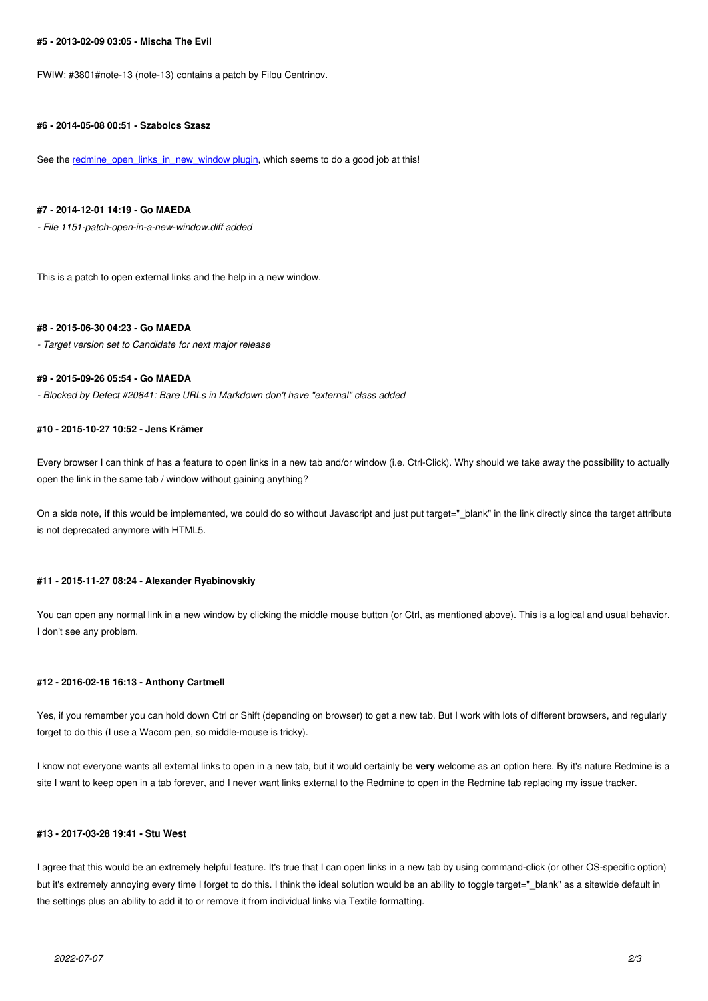FWIW: #3801#note-13 (note-13) contains a patch by Filou Centrinov.

#### **#6 - 2014-05-08 00:51 - Szabolcs Szasz**

See the redmine open links in new window plugin, which seems to do a good job at this!

## **#7 - 2014-12-01 14:19 - Go MAEDA**

*- File 11[51-patch-open-in-a-new-window.diff added](http://www.redmine.org/plugins/redmine_open_links_in_new_window)*

This is a patch to open external links and the help in a new window.

## **#8 - 2015-06-30 04:23 - Go MAEDA**

*- Target version set to Candidate for next major release*

## **#9 - 2015-09-26 05:54 - Go MAEDA**

*- Blocked by Defect #20841: Bare URLs in Markdown don't have "external" class added*

#### **#10 - 2015-10-27 10:52 - Jens Krämer**

Every browser I can think of has a feature to open links in a new tab and/or window (i.e. Ctrl-Click). Why should we take away the possibility to actually open the link in the same tab / window without gaining anything?

On a side note, if this would be implemented, we could do so without Javascript and just put target="\_blank" in the link directly since the target attribute is not deprecated anymore with HTML5.

## **#11 - 2015-11-27 08:24 - Alexander Ryabinovskiy**

You can open any normal link in a new window by clicking the middle mouse button (or Ctrl, as mentioned above). This is a logical and usual behavior. I don't see any problem.

## **#12 - 2016-02-16 16:13 - Anthony Cartmell**

Yes, if you remember you can hold down Ctrl or Shift (depending on browser) to get a new tab. But I work with lots of different browsers, and regularly forget to do this (I use a Wacom pen, so middle-mouse is tricky).

I know not everyone wants all external links to open in a new tab, but it would certainly be **very** welcome as an option here. By it's nature Redmine is a site I want to keep open in a tab forever, and I never want links external to the Redmine to open in the Redmine tab replacing my issue tracker.

## **#13 - 2017-03-28 19:41 - Stu West**

I agree that this would be an extremely helpful feature. It's true that I can open links in a new tab by using command-click (or other OS-specific option) but it's extremely annoying every time I forget to do this. I think the ideal solution would be an ability to toggle target="\_blank" as a sitewide default in the settings plus an ability to add it to or remove it from individual links via Textile formatting.